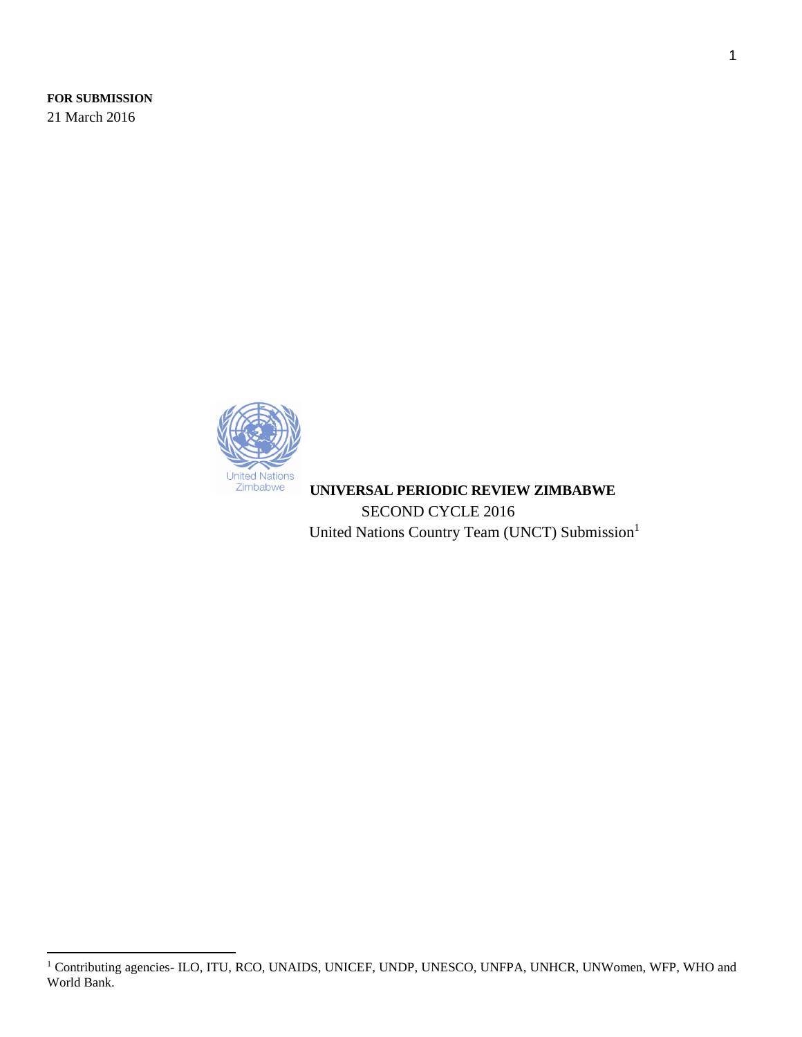**FOR SUBMISSION** 21 March 2016



 **UNIVERSAL PERIODIC REVIEW ZIMBABWE** SECOND CYCLE 2016 United Nations Country Team (UNCT) Submission<sup>1</sup>

 $\overline{\phantom{a}}$ <sup>1</sup> Contributing agencies- ILO, ITU, RCO, UNAIDS, UNICEF, UNDP, UNESCO, UNFPA, UNHCR, UNWomen, WFP, WHO and World Bank.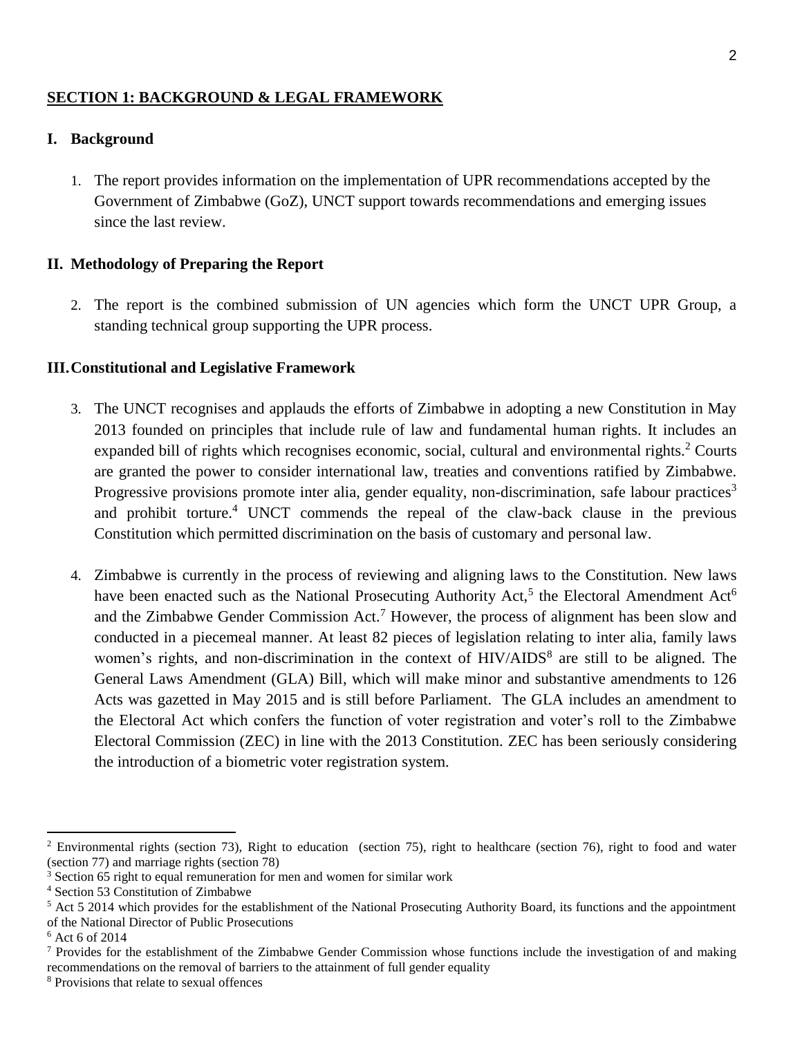### **SECTION 1: BACKGROUND & LEGAL FRAMEWORK**

#### **I. Background**

1. The report provides information on the implementation of UPR recommendations accepted by the Government of Zimbabwe (GoZ), UNCT support towards recommendations and emerging issues since the last review.

### **II. Methodology of Preparing the Report**

2. The report is the combined submission of UN agencies which form the UNCT UPR Group, a standing technical group supporting the UPR process.

### **III.Constitutional and Legislative Framework**

- 3. The UNCT recognises and applauds the efforts of Zimbabwe in adopting a new Constitution in May 2013 founded on principles that include rule of law and fundamental human rights. It includes an expanded bill of rights which recognises economic, social, cultural and environmental rights.<sup>2</sup> Courts are granted the power to consider international law, treaties and conventions ratified by Zimbabwe. Progressive provisions promote inter alia, gender equality, non-discrimination, safe labour practices<sup>3</sup> and prohibit torture. <sup>4</sup> UNCT commends the repeal of the claw-back clause in the previous Constitution which permitted discrimination on the basis of customary and personal law.
- 4. Zimbabwe is currently in the process of reviewing and aligning laws to the Constitution. New laws have been enacted such as the National Prosecuting Authority Act,<sup>5</sup> the Electoral Amendment Act<sup>6</sup> and the Zimbabwe Gender Commission Act.<sup>7</sup> However, the process of alignment has been slow and conducted in a piecemeal manner. At least 82 pieces of legislation relating to inter alia, family laws women's rights, and non-discrimination in the context of HIV/AIDS<sup>8</sup> are still to be aligned. The General Laws Amendment (GLA) Bill, which will make minor and substantive amendments to 126 Acts was gazetted in May 2015 and is still before Parliament. The GLA includes an amendment to the Electoral Act which confers the function of voter registration and voter's roll to the Zimbabwe Electoral Commission (ZEC) in line with the 2013 Constitution. ZEC has been seriously considering the introduction of a biometric voter registration system.

 $2$  Environmental rights (section 73), Right to education (section 75), right to healthcare (section 76), right to food and water (section 77) and marriage rights (section 78)

<sup>&</sup>lt;sup>3</sup> Section 65 right to equal remuneration for men and women for similar work

<sup>4</sup> Section 53 Constitution of Zimbabwe

<sup>&</sup>lt;sup>5</sup> Act 5 2014 which provides for the establishment of the National Prosecuting Authority Board, its functions and the appointment of the National Director of Public Prosecutions

 $6$  Act 6 of 2014

<sup>7</sup> Provides for the establishment of the Zimbabwe Gender Commission whose functions include the investigation of and making recommendations on the removal of barriers to the attainment of full gender equality

<sup>8</sup> Provisions that relate to sexual offences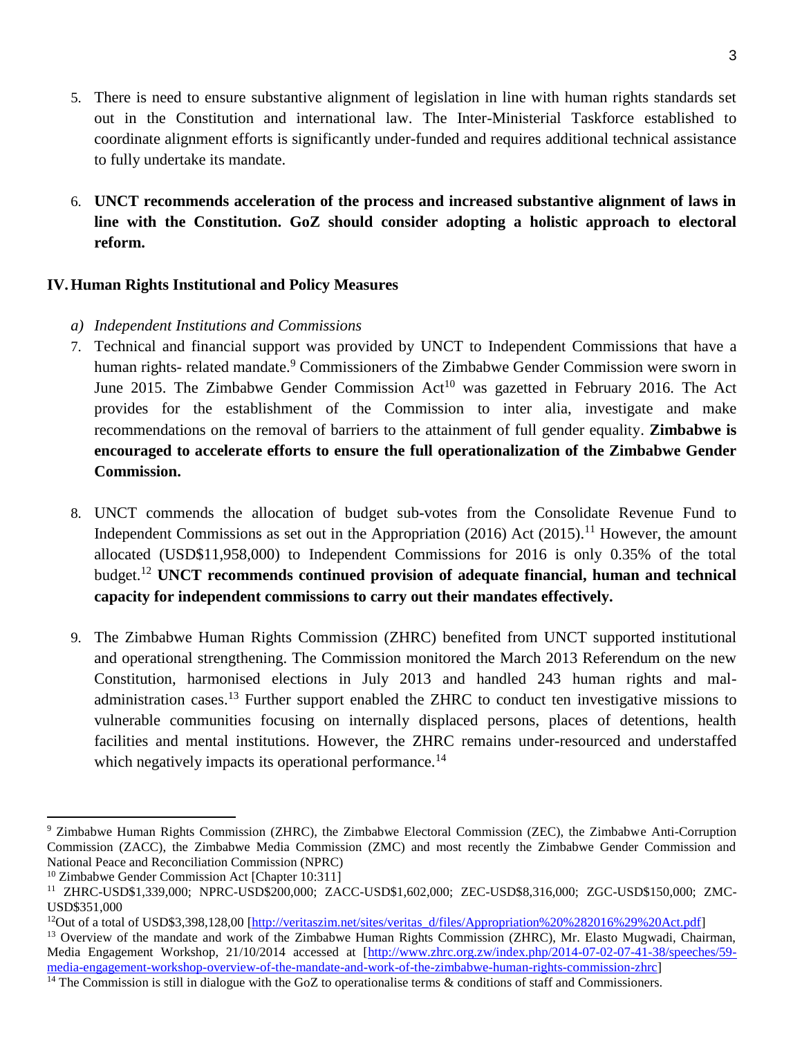- 5. There is need to ensure substantive alignment of legislation in line with human rights standards set out in the Constitution and international law. The Inter-Ministerial Taskforce established to coordinate alignment efforts is significantly under-funded and requires additional technical assistance to fully undertake its mandate.
- 6. **UNCT recommends acceleration of the process and increased substantive alignment of laws in line with the Constitution. GoZ should consider adopting a holistic approach to electoral reform.**

# **IV.Human Rights Institutional and Policy Measures**

- *a) Independent Institutions and Commissions*
- 7. Technical and financial support was provided by UNCT to Independent Commissions that have a human rights- related mandate.<sup>9</sup> Commissioners of the Zimbabwe Gender Commission were sworn in June 2015. The Zimbabwe Gender Commission  $Act^{10}$  was gazetted in February 2016. The Act provides for the establishment of the Commission to inter alia, investigate and make recommendations on the removal of barriers to the attainment of full gender equality. **Zimbabwe is encouraged to accelerate efforts to ensure the full operationalization of the Zimbabwe Gender Commission.**
- 8. UNCT commends the allocation of budget sub-votes from the Consolidate Revenue Fund to Independent Commissions as set out in the Appropriation  $(2016)$  Act  $(2015)$ .<sup>11</sup> However, the amount allocated (USD\$11,958,000) to Independent Commissions for 2016 is only 0.35% of the total budget.<sup>12</sup> **UNCT recommends continued provision of adequate financial, human and technical capacity for independent commissions to carry out their mandates effectively.**
- 9. The Zimbabwe Human Rights Commission (ZHRC) benefited from UNCT supported institutional and operational strengthening. The Commission monitored the March 2013 Referendum on the new Constitution, harmonised elections in July 2013 and handled 243 human rights and maladministration cases.<sup>13</sup> Further support enabled the ZHRC to conduct ten investigative missions to vulnerable communities focusing on internally displaced persons, places of detentions, health facilities and mental institutions. However, the ZHRC remains under-resourced and understaffed which negatively impacts its operational performance.<sup>14</sup>

 $\overline{a}$ <sup>9</sup> Zimbabwe Human Rights Commission (ZHRC), the Zimbabwe Electoral Commission (ZEC), the Zimbabwe Anti-Corruption Commission (ZACC), the Zimbabwe Media Commission (ZMC) and most recently the Zimbabwe Gender Commission and National Peace and Reconciliation Commission (NPRC)

<sup>&</sup>lt;sup>10</sup> Zimbabwe Gender Commission Act [Chapter 10:311]

<sup>11</sup> ZHRC-USD\$1,339,000; NPRC-USD\$200,000; ZACC-USD\$1,602,000; ZEC-USD\$8,316,000; ZGC-USD\$150,000; ZMC-USD\$351,000

<sup>&</sup>lt;sup>12</sup>Out of a total of USD\$3,398,128,00 [\[http://veritaszim.net/sites/veritas\\_d/files/Appropriation%20%282016%29%20Act.pdf\]](http://veritaszim.net/sites/veritas_d/files/Appropriation%20%282016%29%20Act.pdf)

<sup>&</sup>lt;sup>13</sup> Overview of the mandate and work of the Zimbabwe Human Rights Commission (ZHRC), Mr. Elasto Mugwadi, Chairman, Media Engagement Workshop, 21/10/2014 accessed at [\[http://www.zhrc.org.zw/index.php/2014-07-02-07-41-38/speeches/59](http://www.zhrc.org.zw/index.php/2014-07-02-07-41-38/speeches/59-media-engagement-workshop-overview-of-the-mandate-and-work-of-the-zimbabwe-human-rights-commission-zhrc) [media-engagement-workshop-overview-of-the-mandate-and-work-of-the-zimbabwe-human-rights-commission-zhrc\]](http://www.zhrc.org.zw/index.php/2014-07-02-07-41-38/speeches/59-media-engagement-workshop-overview-of-the-mandate-and-work-of-the-zimbabwe-human-rights-commission-zhrc)

<sup>&</sup>lt;sup>14</sup> The Commission is still in dialogue with the GoZ to operationalise terms  $\&$  conditions of staff and Commissioners.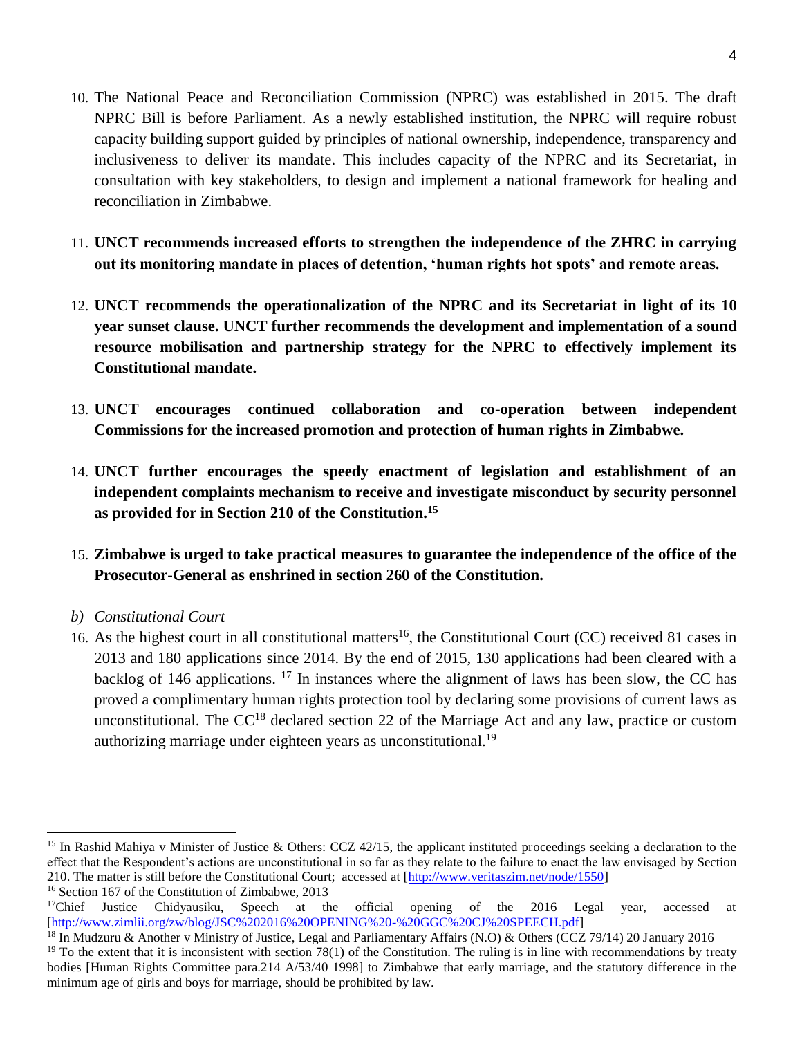- 10. The National Peace and Reconciliation Commission (NPRC) was established in 2015. The draft NPRC Bill is before Parliament. As a newly established institution, the NPRC will require robust capacity building support guided by principles of national ownership, independence, transparency and inclusiveness to deliver its mandate. This includes capacity of the NPRC and its Secretariat, in consultation with key stakeholders, to design and implement a national framework for healing and reconciliation in Zimbabwe.
- 11. **UNCT recommends increased efforts to strengthen the independence of the ZHRC in carrying out its monitoring mandate in places of detention, 'human rights hot spots' and remote areas.**
- 12. **UNCT recommends the operationalization of the NPRC and its Secretariat in light of its 10 year sunset clause. UNCT further recommends the development and implementation of a sound resource mobilisation and partnership strategy for the NPRC to effectively implement its Constitutional mandate.**
- 13. **UNCT encourages continued collaboration and co-operation between independent Commissions for the increased promotion and protection of human rights in Zimbabwe.**
- 14. **UNCT further encourages the speedy enactment of legislation and establishment of an independent complaints mechanism to receive and investigate misconduct by security personnel as provided for in Section 210 of the Constitution.<sup>15</sup>**
- 15. **Zimbabwe is urged to take practical measures to guarantee the independence of the office of the Prosecutor-General as enshrined in section 260 of the Constitution.**
- *b) Constitutional Court*

 $\overline{\phantom{a}}$ 

16. As the highest court in all constitutional matters<sup>16</sup>, the Constitutional Court (CC) received 81 cases in 2013 and 180 applications since 2014. By the end of 2015, 130 applications had been cleared with a backlog of 146 applications.  $17$  In instances where the alignment of laws has been slow, the CC has proved a complimentary human rights protection tool by declaring some provisions of current laws as unconstitutional. The CC<sup>18</sup> declared section 22 of the Marriage Act and any law, practice or custom authorizing marriage under eighteen years as unconstitutional.<sup>19</sup>

<sup>&</sup>lt;sup>15</sup> In Rashid Mahiya v Minister of Justice & Others: CCZ 42/15, the applicant instituted proceedings seeking a declaration to the effect that the Respondent's actions are unconstitutional in so far as they relate to the failure to enact the law envisaged by Section 210. The matter is still before the Constitutional Court; accessed at [\[http://www.veritaszim.net/node/1550\]](http://www.veritaszim.net/node/1550)

<sup>&</sup>lt;sup>16</sup> Section 167 of the Constitution of Zimbabwe, 2013<br><sup>17</sup>Chief Justice Chidyausiku, Speech at the official Justice Chidyausiku, Speech at the official opening of the 2016 Legal year, accessed at [\[http://www.zimlii.org/zw/blog/JSC%202016%20OPENING%20-%20GGC%20CJ%20SPEECH.pdf\]](http://www.zimlii.org/zw/blog/JSC%202016%20OPENING%20-%20GGC%20CJ%20SPEECH.pdf)

<sup>&</sup>lt;sup>18</sup> In Mudzuru & Another v Ministry of Justice, Legal and Parliamentary Affairs (N.O) & Others (CCZ 79/14) 20 January 2016  $19$  To the extent that it is inconsistent with section 78(1) of the Constitution. The ruling is in line with recommendations by treaty bodies [Human Rights Committee para.214 A/53/40 1998] to Zimbabwe that early marriage, and the statutory difference in the minimum age of girls and boys for marriage, should be prohibited by law.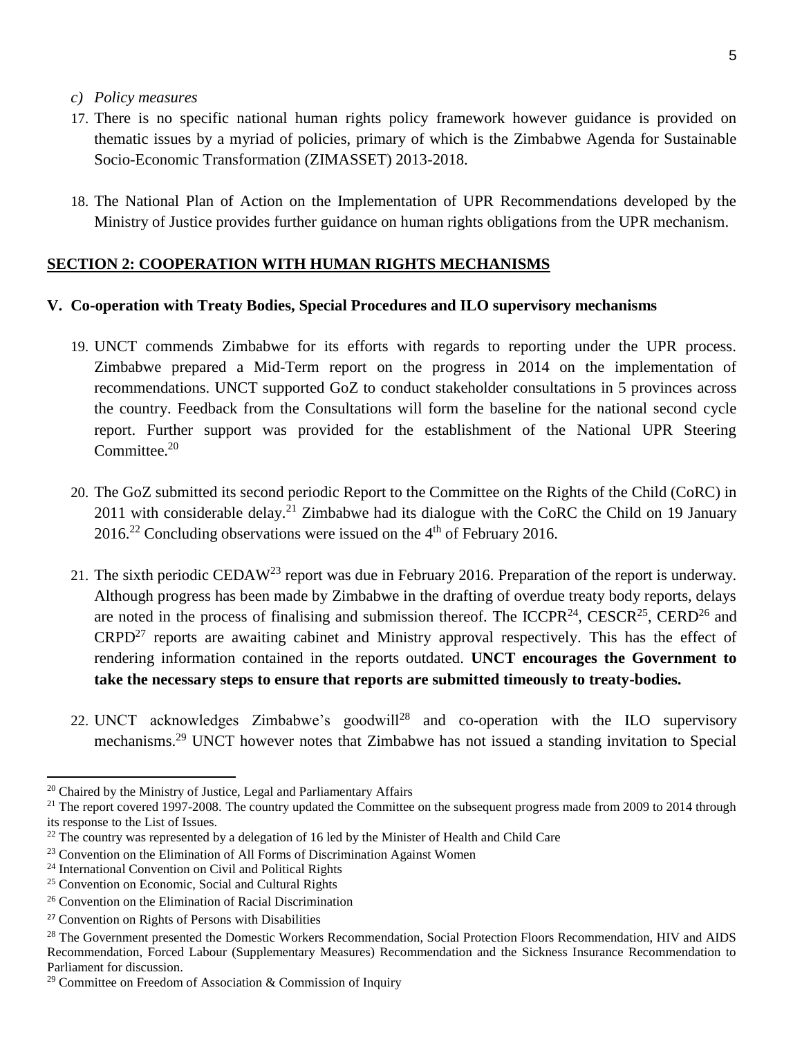- *c) Policy measures*
- 17. There is no specific national human rights policy framework however guidance is provided on thematic issues by a myriad of policies, primary of which is the Zimbabwe Agenda for Sustainable Socio-Economic Transformation (ZIMASSET) 2013-2018.
- 18. The National Plan of Action on the Implementation of UPR Recommendations developed by the Ministry of Justice provides further guidance on human rights obligations from the UPR mechanism.

### **SECTION 2: COOPERATION WITH HUMAN RIGHTS MECHANISMS**

#### **V. Co-operation with Treaty Bodies, Special Procedures and ILO supervisory mechanisms**

- 19. UNCT commends Zimbabwe for its efforts with regards to reporting under the UPR process. Zimbabwe prepared a Mid-Term report on the progress in 2014 on the implementation of recommendations. UNCT supported GoZ to conduct stakeholder consultations in 5 provinces across the country. Feedback from the Consultations will form the baseline for the national second cycle report. Further support was provided for the establishment of the National UPR Steering Committee.<sup>20</sup>
- 20. The GoZ submitted its second periodic Report to the Committee on the Rights of the Child (CoRC) in 2011 with considerable delay.<sup>21</sup> Zimbabwe had its dialogue with the CoRC the Child on 19 January  $2016<sup>22</sup>$  Concluding observations were issued on the 4<sup>th</sup> of February 2016.
- 21. The sixth periodic CEDAW<sup>23</sup> report was due in February 2016. Preparation of the report is underway. Although progress has been made by Zimbabwe in the drafting of overdue treaty body reports, delays are noted in the process of finalising and submission thereof. The ICCPR<sup>24</sup>, CESCR<sup>25</sup>, CERD<sup>26</sup> and  $CRPD<sup>27</sup>$  reports are awaiting cabinet and Ministry approval respectively. This has the effect of rendering information contained in the reports outdated. **UNCT encourages the Government to take the necessary steps to ensure that reports are submitted timeously to treaty-bodies.**
- 22. UNCT acknowledges Zimbabwe's goodwill<sup>28</sup> and co-operation with the ILO supervisory mechanisms.<sup>29</sup> UNCT however notes that Zimbabwe has not issued a standing invitation to Special

l

<sup>&</sup>lt;sup>20</sup> Chaired by the Ministry of Justice, Legal and Parliamentary Affairs

<sup>&</sup>lt;sup>21</sup> The report covered 1997-2008. The country updated the Committee on the subsequent progress made from 2009 to 2014 through its response to the List of Issues.

 $22$  The country was represented by a delegation of 16 led by the Minister of Health and Child Care

 $23$  Convention on the Elimination of All Forms of Discrimination Against Women

<sup>24</sup> International Convention on Civil and Political Rights

<sup>25</sup> Convention on Economic, Social and Cultural Rights

<sup>26</sup> Convention on the Elimination of Racial Discrimination

<sup>27</sup> Convention on Rights of Persons with Disabilities

<sup>&</sup>lt;sup>28</sup> The Government presented the Domestic Workers Recommendation, Social Protection Floors Recommendation, HIV and AIDS Recommendation, Forced Labour (Supplementary Measures) Recommendation and the Sickness Insurance Recommendation to Parliament for discussion.

<sup>&</sup>lt;sup>29</sup> Committee on Freedom of Association & Commission of Inquiry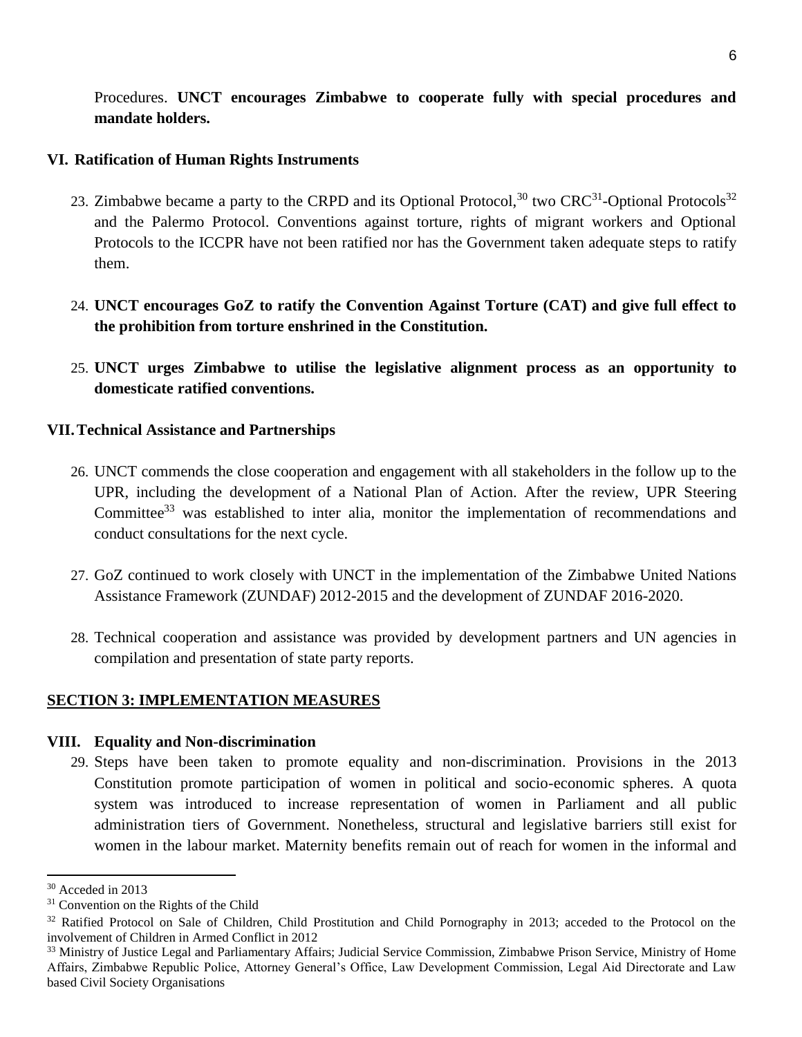Procedures. **UNCT encourages Zimbabwe to cooperate fully with special procedures and mandate holders.** 

### **VI. Ratification of Human Rights Instruments**

- 23. Zimbabwe became a party to the CRPD and its Optional Protocol,  $30$  two CRC<sup>31</sup>-Optional Protocols<sup>32</sup> and the Palermo Protocol. Conventions against torture, rights of migrant workers and Optional Protocols to the ICCPR have not been ratified nor has the Government taken adequate steps to ratify them.
- 24. **UNCT encourages GoZ to ratify the Convention Against Torture (CAT) and give full effect to the prohibition from torture enshrined in the Constitution.**
- 25. **UNCT urges Zimbabwe to utilise the legislative alignment process as an opportunity to domesticate ratified conventions.**

### **VII.Technical Assistance and Partnerships**

- 26. UNCT commends the close cooperation and engagement with all stakeholders in the follow up to the UPR, including the development of a National Plan of Action. After the review, UPR Steering Committee<sup>33</sup> was established to inter alia, monitor the implementation of recommendations and conduct consultations for the next cycle.
- 27. GoZ continued to work closely with UNCT in the implementation of the Zimbabwe United Nations Assistance Framework (ZUNDAF) 2012-2015 and the development of ZUNDAF 2016-2020.
- 28. Technical cooperation and assistance was provided by development partners and UN agencies in compilation and presentation of state party reports.

### **SECTION 3: IMPLEMENTATION MEASURES**

### **VIII. Equality and Non-discrimination**

29. Steps have been taken to promote equality and non-discrimination. Provisions in the 2013 Constitution promote participation of women in political and socio-economic spheres. A quota system was introduced to increase representation of women in Parliament and all public administration tiers of Government. Nonetheless, structural and legislative barriers still exist for women in the labour market. Maternity benefits remain out of reach for women in the informal and

 $\overline{a}$ 

<sup>30</sup> Acceded in 2013

<sup>&</sup>lt;sup>31</sup> Convention on the Rights of the Child

<sup>&</sup>lt;sup>32</sup> Ratified Protocol on Sale of Children, Child Prostitution and Child Pornography in 2013; acceded to the Protocol on the involvement of Children in Armed Conflict in 2012

<sup>33</sup> Ministry of Justice Legal and Parliamentary Affairs; Judicial Service Commission, Zimbabwe Prison Service, Ministry of Home Affairs, Zimbabwe Republic Police, Attorney General's Office, Law Development Commission, Legal Aid Directorate and Law based Civil Society Organisations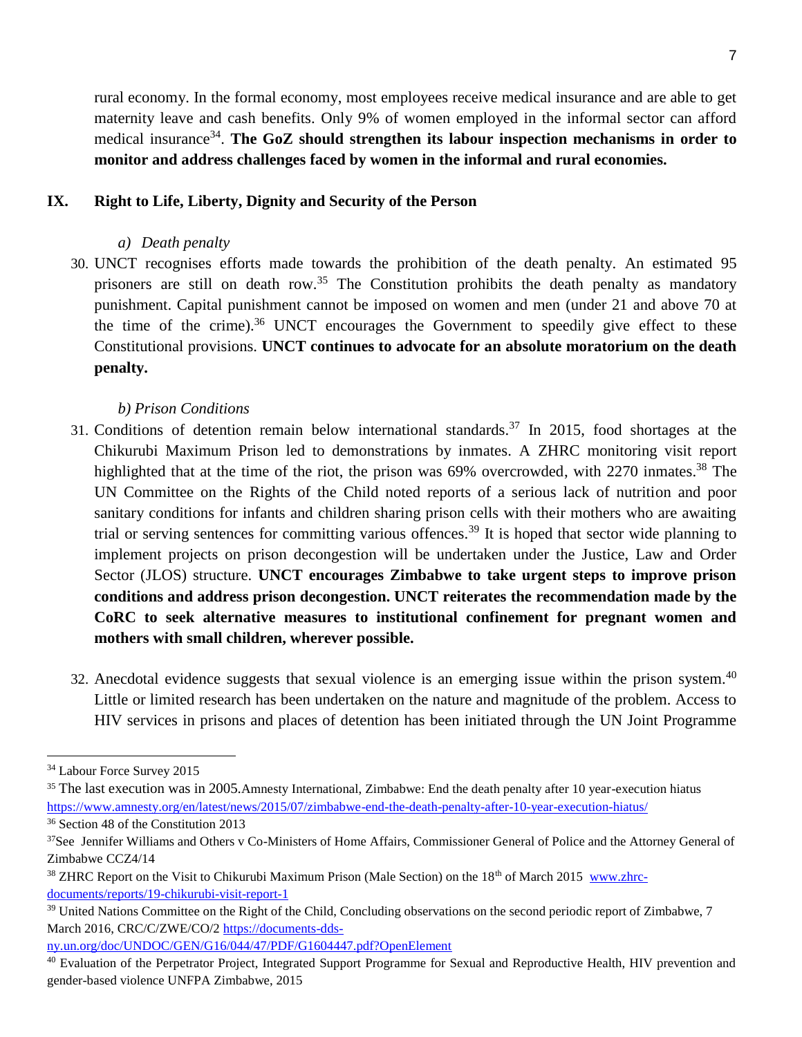rural economy. In the formal economy, most employees receive medical insurance and are able to get maternity leave and cash benefits. Only 9% of women employed in the informal sector can afford medical insurance<sup>34</sup>. The GoZ should strengthen its labour inspection mechanisms in order to **monitor and address challenges faced by women in the informal and rural economies.**

### **IX. Right to Life, Liberty, Dignity and Security of the Person**

- *a) Death penalty*
- 30. UNCT recognises efforts made towards the prohibition of the death penalty. An estimated 95 prisoners are still on death row.<sup>35</sup> The Constitution prohibits the death penalty as mandatory punishment. Capital punishment cannot be imposed on women and men (under 21 and above 70 at the time of the crime). <sup>36</sup> UNCT encourages the Government to speedily give effect to these Constitutional provisions. **UNCT continues to advocate for an absolute moratorium on the death penalty.**

### *b) Prison Conditions*

- 31. Conditions of detention remain below international standards.<sup>37</sup> In 2015, food shortages at the Chikurubi Maximum Prison led to demonstrations by inmates. A ZHRC monitoring visit report highlighted that at the time of the riot, the prison was 69% overcrowded, with 2270 inmates.<sup>38</sup> The UN Committee on the Rights of the Child noted reports of a serious lack of nutrition and poor sanitary conditions for infants and children sharing prison cells with their mothers who are awaiting trial or serving sentences for committing various offences.<sup>39</sup> It is hoped that sector wide planning to implement projects on prison decongestion will be undertaken under the Justice, Law and Order Sector (JLOS) structure. **UNCT encourages Zimbabwe to take urgent steps to improve prison conditions and address prison decongestion. UNCT reiterates the recommendation made by the CoRC to seek alternative measures to institutional confinement for pregnant women and mothers with small children, wherever possible.**
- 32. Anecdotal evidence suggests that sexual violence is an emerging issue within the prison system.<sup>40</sup> Little or limited research has been undertaken on the nature and magnitude of the problem. Access to HIV services in prisons and places of detention has been initiated through the UN Joint Programme

 $\overline{a}$ 

[ny.un.org/doc/UNDOC/GEN/G16/044/47/PDF/G1604447.pdf?OpenElement](https://documents-dds-ny.un.org/doc/UNDOC/GEN/G16/044/47/PDF/G1604447.pdf?OpenElement)

<sup>34</sup> Labour Force Survey 2015

<sup>&</sup>lt;sup>35</sup> The last execution was in 2005.Amnesty International, Zimbabwe: End the death penalty after 10 year-execution hiatus <https://www.amnesty.org/en/latest/news/2015/07/zimbabwe-end-the-death-penalty-after-10-year-execution-hiatus/> <sup>36</sup> Section 48 of the Constitution 2013

<sup>&</sup>lt;sup>37</sup>See Jennifer Williams and Others v Co-Ministers of Home Affairs, Commissioner General of Police and the Attorney General of Zimbabwe CCZ4/14

<sup>&</sup>lt;sup>38</sup> ZHRC Report on the Visit to Chikurubi Maximum Prison (Male Section) on the 18<sup>th</sup> of March 2015 [www.zhrc](http://www.zhrc-documents/reports/19-chikurubi-visit-report-1)[documents/reports/19-chikurubi-visit-report-1](http://www.zhrc-documents/reports/19-chikurubi-visit-report-1)

<sup>&</sup>lt;sup>39</sup> United Nations Committee on the Right of the Child, Concluding observations on the second periodic report of Zimbabwe, 7 March 2016, CRC/C/ZWE/CO/2 [https://documents-dds-](https://documents-dds-ny.un.org/doc/UNDOC/GEN/G16/044/47/PDF/G1604447.pdf?OpenElement)

<sup>&</sup>lt;sup>40</sup> Evaluation of the Perpetrator Project, Integrated Support Programme for Sexual and Reproductive Health, HIV prevention and gender-based violence UNFPA Zimbabwe, 2015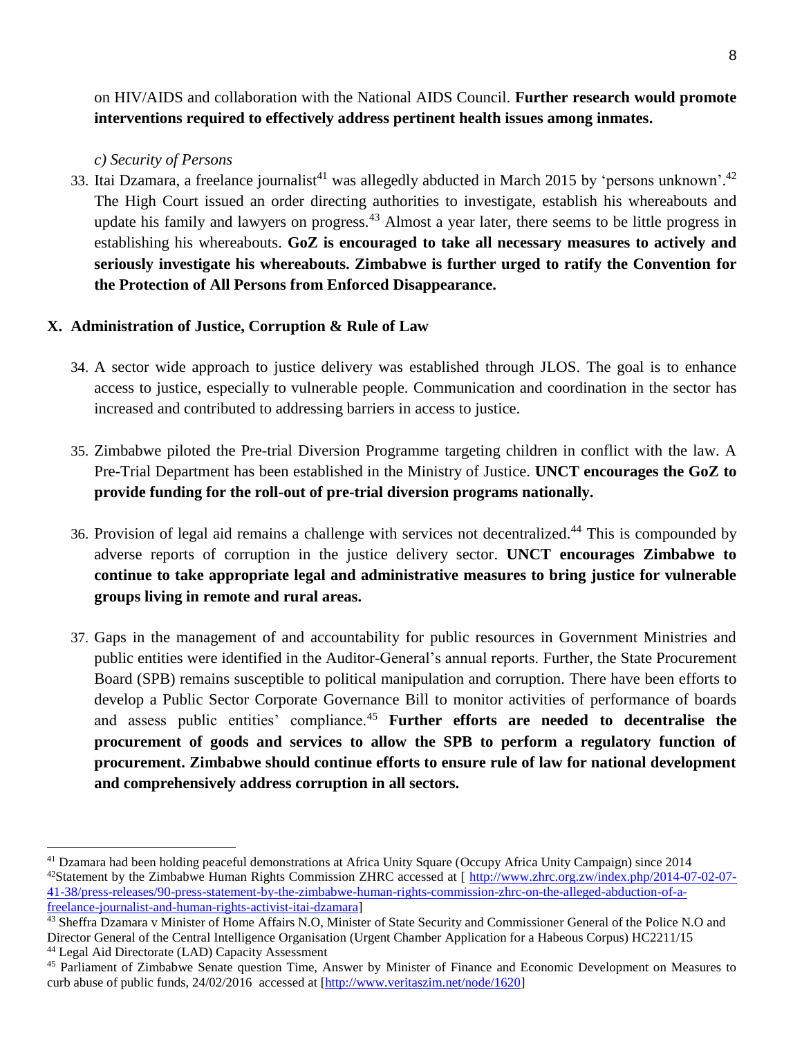on HIV/AIDS and collaboration with the National AIDS Council. **Further research would promote interventions required to effectively address pertinent health issues among inmates.**

*c) Security of Persons*

 $\overline{\phantom{a}}$ 

33. Itai Dzamara, a freelance journalist<sup>41</sup> was allegedly abducted in March 2015 by 'persons unknown'.<sup>42</sup> The High Court issued an order directing authorities to investigate, establish his whereabouts and update his family and lawyers on progress.<sup>43</sup> Almost a year later, there seems to be little progress in establishing his whereabouts. **GoZ is encouraged to take all necessary measures to actively and seriously investigate his whereabouts. Zimbabwe is further urged to ratify the Convention for the Protection of All Persons from Enforced Disappearance.** 

### **X. Administration of Justice, Corruption & Rule of Law**

- 34. A sector wide approach to justice delivery was established through JLOS. The goal is to enhance access to justice, especially to vulnerable people. Communication and coordination in the sector has increased and contributed to addressing barriers in access to justice.
- 35. Zimbabwe piloted the Pre-trial Diversion Programme targeting children in conflict with the law. A Pre-Trial Department has been established in the Ministry of Justice. **UNCT encourages the GoZ to provide funding for the roll-out of pre-trial diversion programs nationally.**
- 36. Provision of legal aid remains a challenge with services not decentralized.<sup>44</sup> This is compounded by adverse reports of corruption in the justice delivery sector. **UNCT encourages Zimbabwe to continue to take appropriate legal and administrative measures to bring justice for vulnerable groups living in remote and rural areas.**
- 37. Gaps in the management of and accountability for public resources in Government Ministries and public entities were identified in the Auditor-General's annual reports. Further, the State Procurement Board (SPB) remains susceptible to political manipulation and corruption. There have been efforts to develop a Public Sector Corporate Governance Bill to monitor activities of performance of boards and assess public entities' compliance.<sup>45</sup> **Further efforts are needed to decentralise the procurement of goods and services to allow the SPB to perform a regulatory function of procurement. Zimbabwe should continue efforts to ensure rule of law for national development and comprehensively address corruption in all sectors.**

<sup>41</sup> Dzamara had been holding peaceful demonstrations at Africa Unity Square (Occupy Africa Unity Campaign) since 2014 <sup>42</sup>Statement by the Zimbabwe Human Rights Commission ZHRC accessed at  $\int$  [http://www.zhrc.org.zw/index.php/2014-07-02-07-](http://www.zhrc.org.zw/index.php/2014-07-02-07-41-38/press-releases/90-press-statement-by-the-zimbabwe-human-rights-commission-zhrc-on-the-alleged-abduction-of-a-freelance-journalist-and-human-rights-activist-itai-dzamara) [41-38/press-releases/90-press-statement-by-the-zimbabwe-human-rights-commission-zhrc-on-the-alleged-abduction-of-a](http://www.zhrc.org.zw/index.php/2014-07-02-07-41-38/press-releases/90-press-statement-by-the-zimbabwe-human-rights-commission-zhrc-on-the-alleged-abduction-of-a-freelance-journalist-and-human-rights-activist-itai-dzamara)[freelance-journalist-and-human-rights-activist-itai-dzamara\]](http://www.zhrc.org.zw/index.php/2014-07-02-07-41-38/press-releases/90-press-statement-by-the-zimbabwe-human-rights-commission-zhrc-on-the-alleged-abduction-of-a-freelance-journalist-and-human-rights-activist-itai-dzamara)

<sup>&</sup>lt;sup>43</sup> Sheffra Dzamara v Minister of Home Affairs N.O, Minister of State Security and Commissioner General of the Police N.O and Director General of the Central Intelligence Organisation (Urgent Chamber Application for a Habeous Corpus) HC2211/15 <sup>44</sup> Legal Aid Directorate (LAD) Capacity Assessment

<sup>45</sup> Parliament of Zimbabwe Senate question Time, Answer by Minister of Finance and Economic Development on Measures to curb abuse of public funds, 24/02/2016 accessed at [\[http://www.veritaszim.net/node/1620\]](http://www.veritaszim.net/node/1620)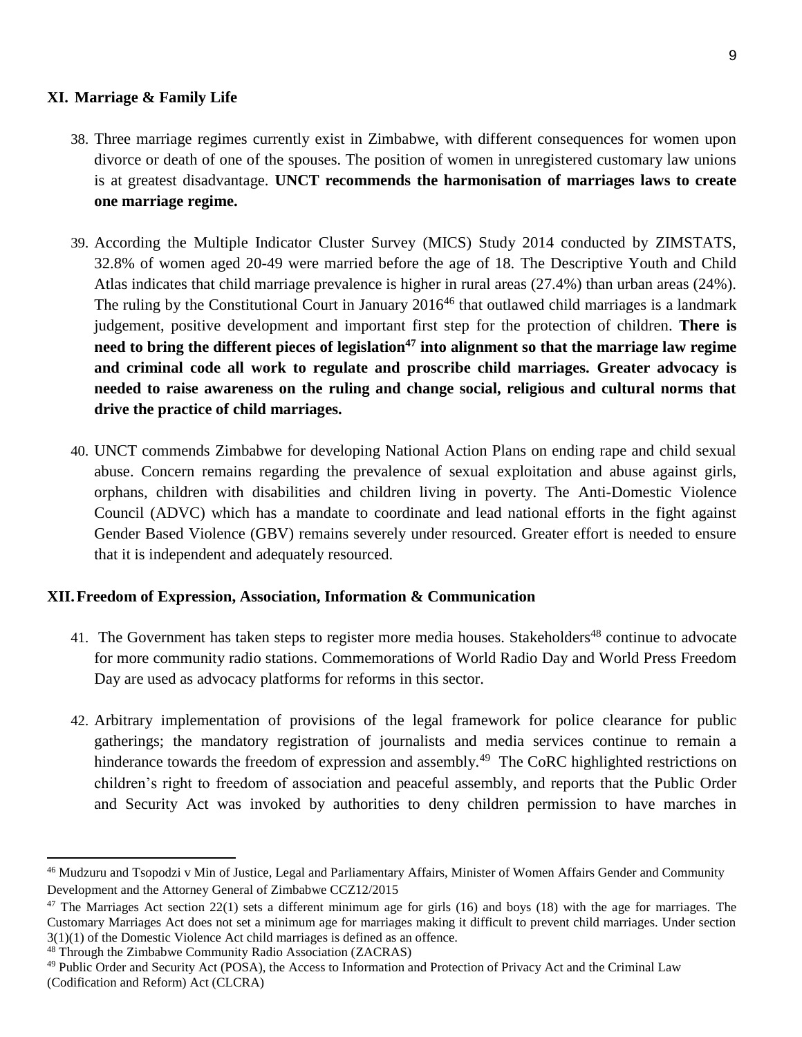### **XI. Marriage & Family Life**

- 38. Three marriage regimes currently exist in Zimbabwe, with different consequences for women upon divorce or death of one of the spouses. The position of women in unregistered customary law unions is at greatest disadvantage. **UNCT recommends the harmonisation of marriages laws to create one marriage regime.**
- 39. According the Multiple Indicator Cluster Survey (MICS) Study 2014 conducted by ZIMSTATS, 32.8% of women aged 20-49 were married before the age of 18. The Descriptive Youth and Child Atlas indicates that child marriage prevalence is higher in rural areas (27.4%) than urban areas (24%). The ruling by the Constitutional Court in January  $2016^{46}$  that outlawed child marriages is a landmark judgement, positive development and important first step for the protection of children. **There is need to bring the different pieces of legislation<sup>47</sup> into alignment so that the marriage law regime and criminal code all work to regulate and proscribe child marriages. Greater advocacy is needed to raise awareness on the ruling and change social, religious and cultural norms that drive the practice of child marriages.**
- 40. UNCT commends Zimbabwe for developing National Action Plans on ending rape and child sexual abuse. Concern remains regarding the prevalence of sexual exploitation and abuse against girls, orphans, children with disabilities and children living in poverty. The Anti-Domestic Violence Council (ADVC) which has a mandate to coordinate and lead national efforts in the fight against Gender Based Violence (GBV) remains severely under resourced. Greater effort is needed to ensure that it is independent and adequately resourced.

### **XII.Freedom of Expression, Association, Information & Communication**

- 41. The Government has taken steps to register more media houses. Stakeholders<sup>48</sup> continue to advocate for more community radio stations. Commemorations of World Radio Day and World Press Freedom Day are used as advocacy platforms for reforms in this sector.
- 42. Arbitrary implementation of provisions of the legal framework for police clearance for public gatherings; the mandatory registration of journalists and media services continue to remain a hinderance towards the freedom of expression and assembly.<sup>49</sup> The CoRC highlighted restrictions on children's right to freedom of association and peaceful assembly, and reports that the Public Order and Security Act was invoked by authorities to deny children permission to have marches in

<sup>46</sup> Mudzuru and Tsopodzi v Min of Justice, Legal and Parliamentary Affairs, Minister of Women Affairs Gender and Community Development and the Attorney General of Zimbabwe CCZ12/2015

 $47$  The Marriages Act section 22(1) sets a different minimum age for girls (16) and boys (18) with the age for marriages. The Customary Marriages Act does not set a minimum age for marriages making it difficult to prevent child marriages. Under section 3(1)(1) of the Domestic Violence Act child marriages is defined as an offence.

<sup>48</sup> Through the Zimbabwe Community Radio Association (ZACRAS)

<sup>49</sup> Public Order and Security Act (POSA), the Access to Information and Protection of Privacy Act and the Criminal Law (Codification and Reform) Act (CLCRA)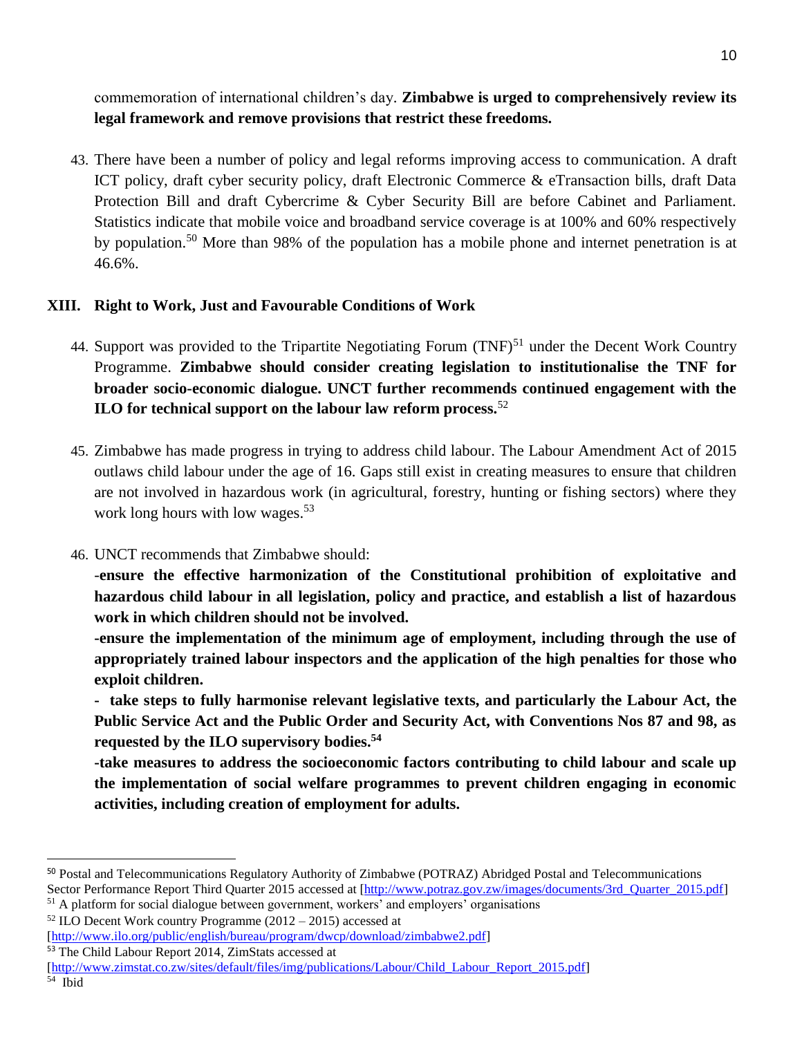commemoration of international children's day. **Zimbabwe is urged to comprehensively review its legal framework and remove provisions that restrict these freedoms.**

43. There have been a number of policy and legal reforms improving access to communication. A draft ICT policy, draft cyber security policy, draft Electronic Commerce & eTransaction bills, draft Data Protection Bill and draft Cybercrime & Cyber Security Bill are before Cabinet and Parliament. Statistics indicate that mobile voice and broadband service coverage is at 100% and 60% respectively by population.<sup>50</sup> More than 98% of the population has a mobile phone and internet penetration is at 46.6%.

# **XIII. Right to Work, Just and Favourable Conditions of Work**

- 44. Support was provided to the Tripartite Negotiating Forum (TNF)<sup>51</sup> under the Decent Work Country Programme. **Zimbabwe should consider creating legislation to institutionalise the TNF for broader socio-economic dialogue. UNCT further recommends continued engagement with the ILO for technical support on the labour law reform process.**<sup>52</sup>
- 45. Zimbabwe has made progress in trying to address child labour. The Labour Amendment Act of 2015 outlaws child labour under the age of 16. Gaps still exist in creating measures to ensure that children are not involved in hazardous work (in agricultural, forestry, hunting or fishing sectors) where they work long hours with low wages. 53
- 46. UNCT recommends that Zimbabwe should:

-**ensure the effective harmonization of the Constitutional prohibition of exploitative and hazardous child labour in all legislation, policy and practice, and establish a list of hazardous work in which children should not be involved.** 

**-ensure the implementation of the minimum age of employment, including through the use of appropriately trained labour inspectors and the application of the high penalties for those who exploit children.** 

**- take steps to fully harmonise relevant legislative texts, and particularly the Labour Act, the Public Service Act and the Public Order and Security Act, with Conventions Nos 87 and 98, as requested by the ILO supervisory bodies.<sup>54</sup>**

**-take measures to address the socioeconomic factors contributing to child labour and scale up the implementation of social welfare programmes to prevent children engaging in economic activities, including creation of employment for adults.**

 $52$  ILO Decent Work country Programme (2012 – 2015) accessed at [\[http://www.ilo.org/public/english/bureau/program/dwcp/download/zimbabwe2.pdf\]](http://www.ilo.org/public/english/bureau/program/dwcp/download/zimbabwe2.pdf) <sup>53</sup> The Child Labour Report 2014, ZimStats accessed at

<sup>50</sup> Postal and Telecommunications Regulatory Authority of Zimbabwe (POTRAZ) Abridged Postal and Telecommunications Sector Performance Report Third Quarter 2015 accessed at [\[http://www.potraz.gov.zw/images/documents/3rd\\_Quarter\\_2015.pdf\]](http://www.potraz.gov.zw/images/documents/3rd_Quarter_2015.pdf) <sup>51</sup> A platform for social dialogue between government, workers' and employers' organisations

[<sup>\[</sup>http://www.zimstat.co.zw/sites/default/files/img/publications/Labour/Child\\_Labour\\_Report\\_2015.pdf\]](http://www.zimstat.co.zw/sites/default/files/img/publications/Labour/Child_Labour_Report_2015.pdf)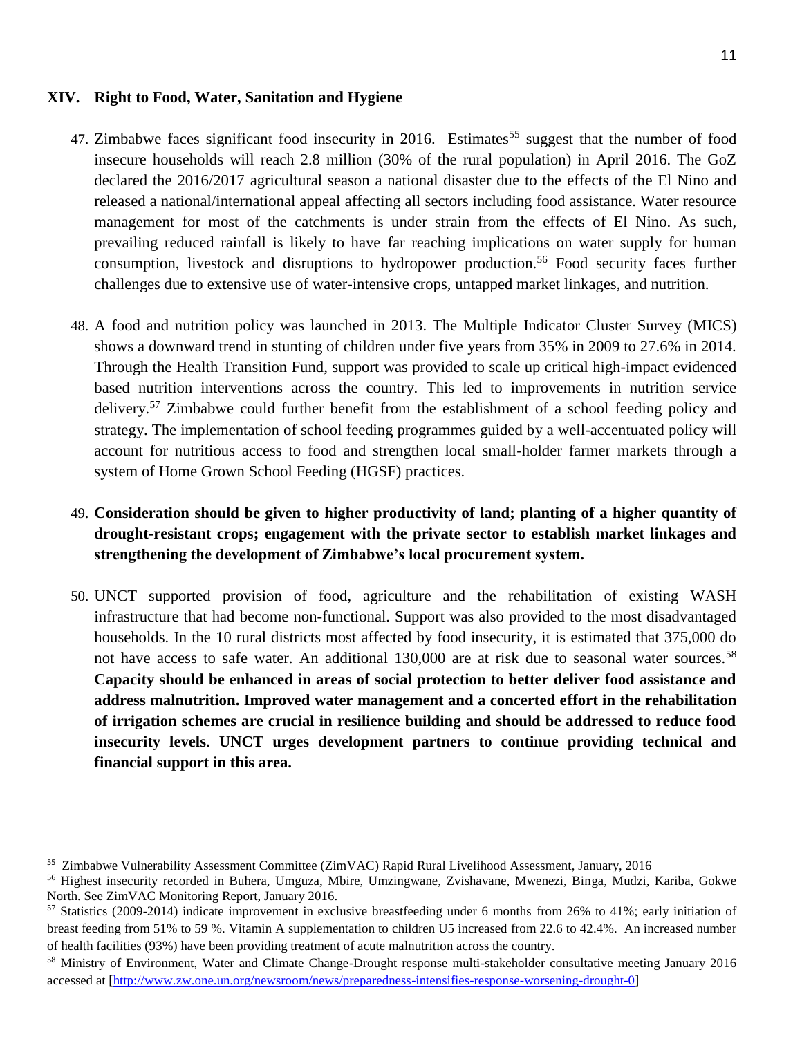### **XIV. Right to Food, Water, Sanitation and Hygiene**

- 47. Zimbabwe faces significant food insecurity in 2016. Estimates<sup>55</sup> suggest that the number of food insecure households will reach 2.8 million (30% of the rural population) in April 2016. The GoZ declared the 2016/2017 agricultural season a national disaster due to the effects of the El Nino and released a national/international appeal affecting all sectors including food assistance. Water resource management for most of the catchments is under strain from the effects of El Nino. As such, prevailing reduced rainfall is likely to have far reaching implications on water supply for human consumption, livestock and disruptions to hydropower production.<sup>56</sup> Food security faces further challenges due to extensive use of water-intensive crops, untapped market linkages, and nutrition.
- 48. A food and nutrition policy was launched in 2013. The Multiple Indicator Cluster Survey (MICS) shows a downward trend in stunting of children under five years from 35% in 2009 to 27.6% in 2014. Through the Health Transition Fund, support was provided to scale up critical high-impact evidenced based nutrition interventions across the country. This led to improvements in nutrition service delivery.<sup>57</sup> Zimbabwe could further benefit from the establishment of a school feeding policy and strategy. The implementation of school feeding programmes guided by a well-accentuated policy will account for nutritious access to food and strengthen local small-holder farmer markets through a system of Home Grown School Feeding (HGSF) practices.
- 49. **Consideration should be given to higher productivity of land; planting of a higher quantity of drought-resistant crops; engagement with the private sector to establish market linkages and strengthening the development of Zimbabwe's local procurement system.**
- 50. UNCT supported provision of food, agriculture and the rehabilitation of existing WASH infrastructure that had become non-functional. Support was also provided to the most disadvantaged households. In the 10 rural districts most affected by food insecurity, it is estimated that 375,000 do not have access to safe water. An additional 130,000 are at risk due to seasonal water sources.<sup>58</sup> **Capacity should be enhanced in areas of social protection to better deliver food assistance and address malnutrition. Improved water management and a concerted effort in the rehabilitation of irrigation schemes are crucial in resilience building and should be addressed to reduce food insecurity levels. UNCT urges development partners to continue providing technical and financial support in this area.**

 $\overline{a}$ 

<sup>55</sup> Zimbabwe Vulnerability Assessment Committee (ZimVAC) Rapid Rural Livelihood Assessment, January, 2016

<sup>56</sup> Highest insecurity recorded in Buhera, Umguza, Mbire, Umzingwane, Zvishavane, Mwenezi, Binga, Mudzi, Kariba, Gokwe North. See ZimVAC Monitoring Report, January 2016.

<sup>57</sup> Statistics (2009-2014) indicate improvement in exclusive breastfeeding under 6 months from 26% to 41%; early initiation of breast feeding from 51% to 59 %. Vitamin A supplementation to children U5 increased from 22.6 to 42.4%. An increased number of health facilities (93%) have been providing treatment of acute malnutrition across the country.

<sup>58</sup> Ministry of Environment, Water and Climate Change-Drought response multi-stakeholder consultative meeting January 2016 accessed at [\[http://www.zw.one.un.org/newsroom/news/preparedness-intensifies-response-worsening-drought-0\]](http://www.zw.one.un.org/newsroom/news/preparedness-intensifies-response-worsening-drought-0)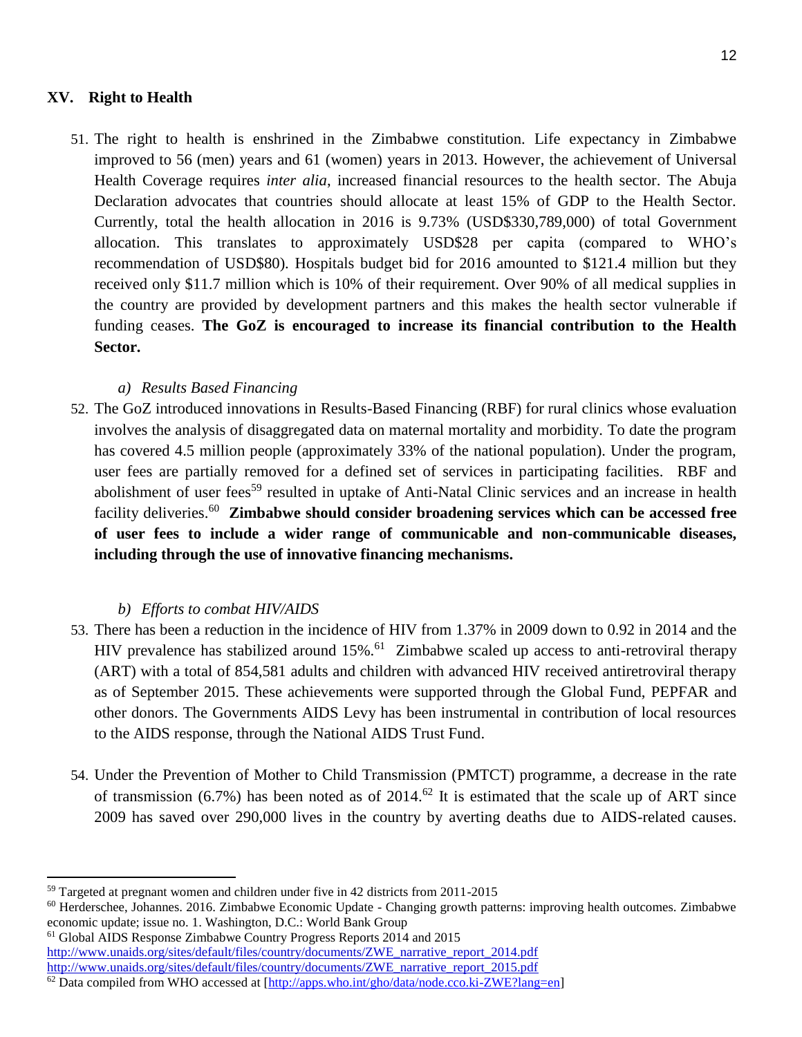### **XV. Right to Health**

51. The right to health is enshrined in the Zimbabwe constitution. Life expectancy in Zimbabwe improved to 56 (men) years and 61 (women) years in 2013. However, the achievement of Universal Health Coverage requires *inter alia*, increased financial resources to the health sector. The Abuja Declaration advocates that countries should allocate at least 15% of GDP to the Health Sector. Currently, total the health allocation in 2016 is 9.73% (USD\$330,789,000) of total Government allocation. This translates to approximately USD\$28 per capita (compared to WHO's recommendation of USD\$80). Hospitals budget bid for 2016 amounted to \$121.4 million but they received only \$11.7 million which is 10% of their requirement. Over 90% of all medical supplies in the country are provided by development partners and this makes the health sector vulnerable if funding ceases. **The GoZ is encouraged to increase its financial contribution to the Health Sector.**

# *a) Results Based Financing*

52. The GoZ introduced innovations in Results-Based Financing (RBF) for rural clinics whose evaluation involves the analysis of disaggregated data on maternal mortality and morbidity. To date the program has covered 4.5 million people (approximately 33% of the national population). Under the program, user fees are partially removed for a defined set of services in participating facilities. RBF and abolishment of user fees<sup>59</sup> resulted in uptake of Anti-Natal Clinic services and an increase in health facility deliveries.<sup>60</sup> **Zimbabwe should consider broadening services which can be accessed free of user fees to include a wider range of communicable and non-communicable diseases, including through the use of innovative financing mechanisms.**

# *b) Efforts to combat HIV/AIDS*

- 53. There has been a reduction in the incidence of HIV from 1.37% in 2009 down to 0.92 in 2014 and the HIV prevalence has stabilized around  $15\%$ .<sup>61</sup> Zimbabwe scaled up access to anti-retroviral therapy (ART) with a total of 854,581 adults and children with advanced HIV received antiretroviral therapy as of September 2015. These achievements were supported through the Global Fund, PEPFAR and other donors. The Governments AIDS Levy has been instrumental in contribution of local resources to the AIDS response, through the National AIDS Trust Fund.
- 54. Under the Prevention of Mother to Child Transmission (PMTCT) programme, a decrease in the rate of transmission (6.7%) has been noted as of 2014.<sup>62</sup> It is estimated that the scale up of ART since 2009 has saved over 290,000 lives in the country by averting deaths due to AIDS-related causes.

<sup>59</sup> Targeted at pregnant women and children under five in 42 districts from 2011-2015

<sup>&</sup>lt;sup>60</sup> Herderschee, Johannes. 2016. Zimbabwe Economic Update - Changing growth patterns: improving health outcomes. Zimbabwe economic update; issue no. 1. Washington, D.C.: World Bank Group

<sup>61</sup> Global AIDS Response Zimbabwe Country Progress Reports 2014 and 2015 [http://www.unaids.org/sites/default/files/country/documents/ZWE\\_narrative\\_report\\_2014.pdf](http://www.google.com/url?q=http%3A%2F%2Fwww.unaids.org%2Fsites%2Fdefault%2Ffiles%2Fcountry%2Fdocuments%2FZWE_narrative_report_2014.pdf&sa=D&sntz=1&usg=AFQjCNHY7QnTJzA5t9fTo_SDFfuHSElx1Q) [http://www.unaids.org/sites/default/files/country/documents/ZWE\\_narrative\\_report\\_2015.pdf](http://www.google.com/url?q=http%3A%2F%2Fwww.unaids.org%2Fsites%2Fdefault%2Ffiles%2Fcountry%2Fdocuments%2FZWE_narrative_report_2015.pdf&sa=D&sntz=1&usg=AFQjCNFcOU4KXXMrteyzODwrCyDZav_3mQ)

 $^{62}$  Data compiled from WHO accessed at  $[http://arpos.who.int/rho/data/node.co.ki-ZWE?lang=en]$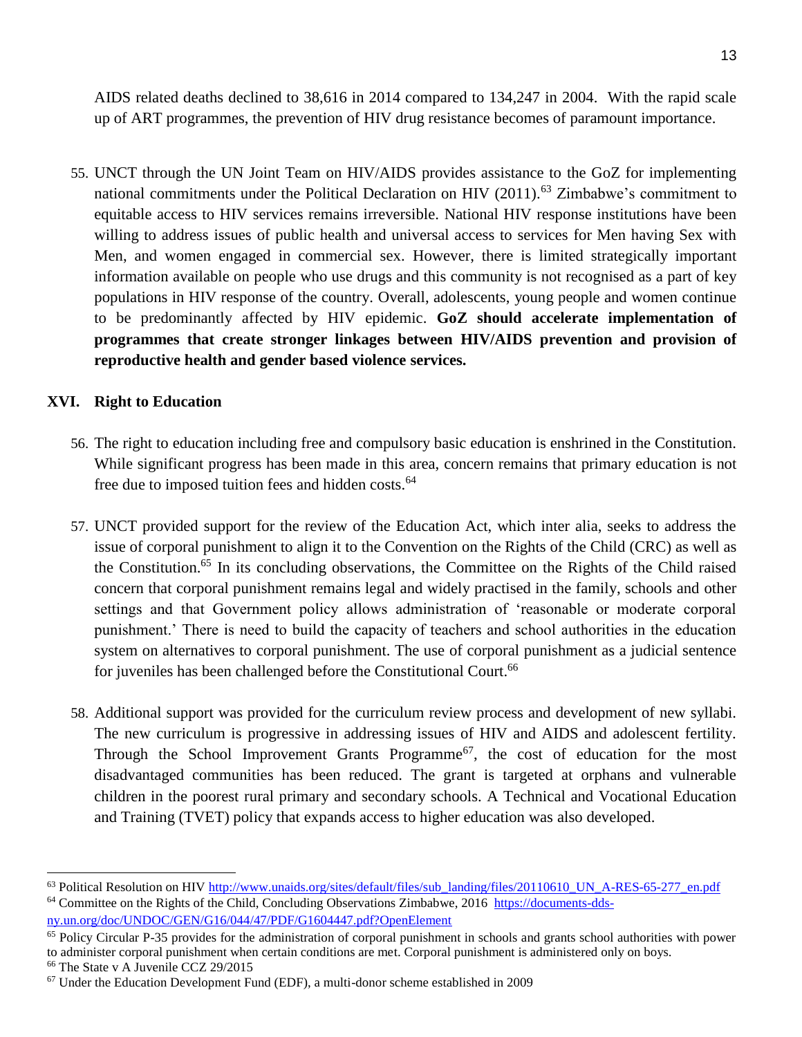AIDS related deaths declined to 38,616 in 2014 compared to 134,247 in 2004. With the rapid scale up of ART programmes, the prevention of HIV drug resistance becomes of paramount importance.

55. UNCT through the UN Joint Team on HIV/AIDS provides assistance to the GoZ for implementing national commitments under the Political Declaration on HIV  $(2011)$ .<sup>63</sup> Zimbabwe's commitment to equitable access to HIV services remains irreversible. National HIV response institutions have been willing to address issues of public health and universal access to services for Men having Sex with Men, and women engaged in commercial sex. However, there is limited strategically important information available on people who use drugs and this community is not recognised as a part of key populations in HIV response of the country. Overall, adolescents, young people and women continue to be predominantly affected by HIV epidemic. **GoZ should accelerate implementation of programmes that create stronger linkages between HIV/AIDS prevention and provision of reproductive health and gender based violence services.** 

# **XVI. Right to Education**

- 56. The right to education including free and compulsory basic education is enshrined in the Constitution. While significant progress has been made in this area, concern remains that primary education is not free due to imposed tuition fees and hidden costs.<sup>64</sup>
- 57. UNCT provided support for the review of the Education Act, which inter alia, seeks to address the issue of corporal punishment to align it to the Convention on the Rights of the Child (CRC) as well as the Constitution.<sup>65</sup> In its concluding observations, the Committee on the Rights of the Child raised concern that corporal punishment remains legal and widely practised in the family, schools and other settings and that Government policy allows administration of 'reasonable or moderate corporal punishment.' There is need to build the capacity of teachers and school authorities in the education system on alternatives to corporal punishment. The use of corporal punishment as a judicial sentence for juveniles has been challenged before the Constitutional Court.<sup>66</sup>
- 58. Additional support was provided for the curriculum review process and development of new syllabi. The new curriculum is progressive in addressing issues of HIV and AIDS and adolescent fertility. Through the School Improvement Grants Programme<sup>67</sup>, the cost of education for the most disadvantaged communities has been reduced. The grant is targeted at orphans and vulnerable children in the poorest rural primary and secondary schools. A Technical and Vocational Education and Training (TVET) policy that expands access to higher education was also developed.

<sup>&</sup>lt;sup>63</sup> Political Resolution on HIV [http://www.unaids.org/sites/default/files/sub\\_landing/files/20110610\\_UN\\_A-RES-65-277\\_en.pdf](http://www.unaids.org/sites/default/files/sub_landing/files/20110610_UN_A-RES-65-277_en.pdf) <sup>64</sup> Committee on the Rights of the Child, Concluding Observations Zimbabwe, 2016 [https://documents-dds](https://documents-dds-ny.un.org/doc/UNDOC/GEN/G16/044/47/PDF/G1604447.pdf?OpenElement)[ny.un.org/doc/UNDOC/GEN/G16/044/47/PDF/G1604447.pdf?OpenElement](https://documents-dds-ny.un.org/doc/UNDOC/GEN/G16/044/47/PDF/G1604447.pdf?OpenElement)

<sup>&</sup>lt;sup>65</sup> Policy Circular P-35 provides for the administration of corporal punishment in schools and grants school authorities with power to administer corporal punishment when certain conditions are met. Corporal punishment is administered only on boys. <sup>66</sup> The State v A Juvenile CCZ 29/2015

 $67$  Under the Education Development Fund (EDF), a multi-donor scheme established in 2009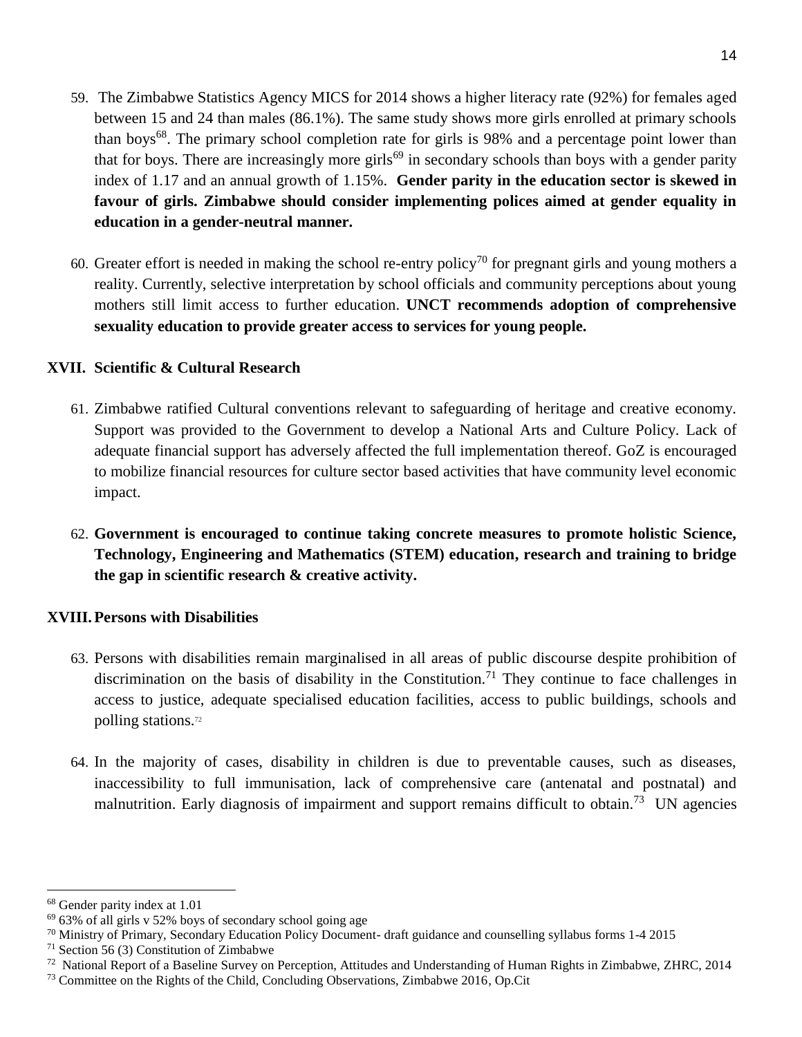- 59. The Zimbabwe Statistics Agency MICS for 2014 shows a higher literacy rate (92%) for females aged between 15 and 24 than males (86.1%). The same study shows more girls enrolled at primary schools than boys<sup>68</sup>. The primary school completion rate for girls is 98% and a percentage point lower than that for boys. There are increasingly more girls<sup>69</sup> in secondary schools than boys with a gender parity index of 1.17 and an annual growth of 1.15%. **Gender parity in the education sector is skewed in favour of girls. Zimbabwe should consider implementing polices aimed at gender equality in education in a gender-neutral manner.**
- 60. Greater effort is needed in making the school re-entry policy<sup>70</sup> for pregnant girls and young mothers a reality. Currently, selective interpretation by school officials and community perceptions about young mothers still limit access to further education. **UNCT recommends adoption of comprehensive sexuality education to provide greater access to services for young people.**

# **XVII. Scientific & Cultural Research**

- 61. Zimbabwe ratified Cultural conventions relevant to safeguarding of heritage and creative economy. Support was provided to the Government to develop a National Arts and Culture Policy. Lack of adequate financial support has adversely affected the full implementation thereof. GoZ is encouraged to mobilize financial resources for culture sector based activities that have community level economic impact.
- 62. **Government is encouraged to continue taking concrete measures to promote holistic Science, Technology, Engineering and Mathematics (STEM) education, research and training to bridge the gap in scientific research & creative activity.**

# **XVIII.Persons with Disabilities**

- 63. Persons with disabilities remain marginalised in all areas of public discourse despite prohibition of discrimination on the basis of disability in the Constitution.<sup>71</sup> They continue to face challenges in access to justice, adequate specialised education facilities, access to public buildings, schools and polling stations.<sup>72</sup>
- 64. In the majority of cases, disability in children is due to preventable causes, such as diseases, inaccessibility to full immunisation, lack of comprehensive care (antenatal and postnatal) and malnutrition. Early diagnosis of impairment and support remains difficult to obtain.<sup>73</sup> UN agencies

<sup>68</sup> Gender parity index at 1.01

 $69\,63\%$  of all girls v 52% boys of secondary school going age

 $70$  Ministry of Primary, Secondary Education Policy Document- draft guidance and counselling syllabus forms 1-4 2015

 $71$  Section 56 (3) Constitution of Zimbabwe

<sup>&</sup>lt;sup>72</sup> National Report of a Baseline Survey on Perception, Attitudes and Understanding of Human Rights in Zimbabwe, ZHRC, 2014

<sup>73</sup> Committee on the Rights of the Child, Concluding Observations, Zimbabwe 2016, Op.Cit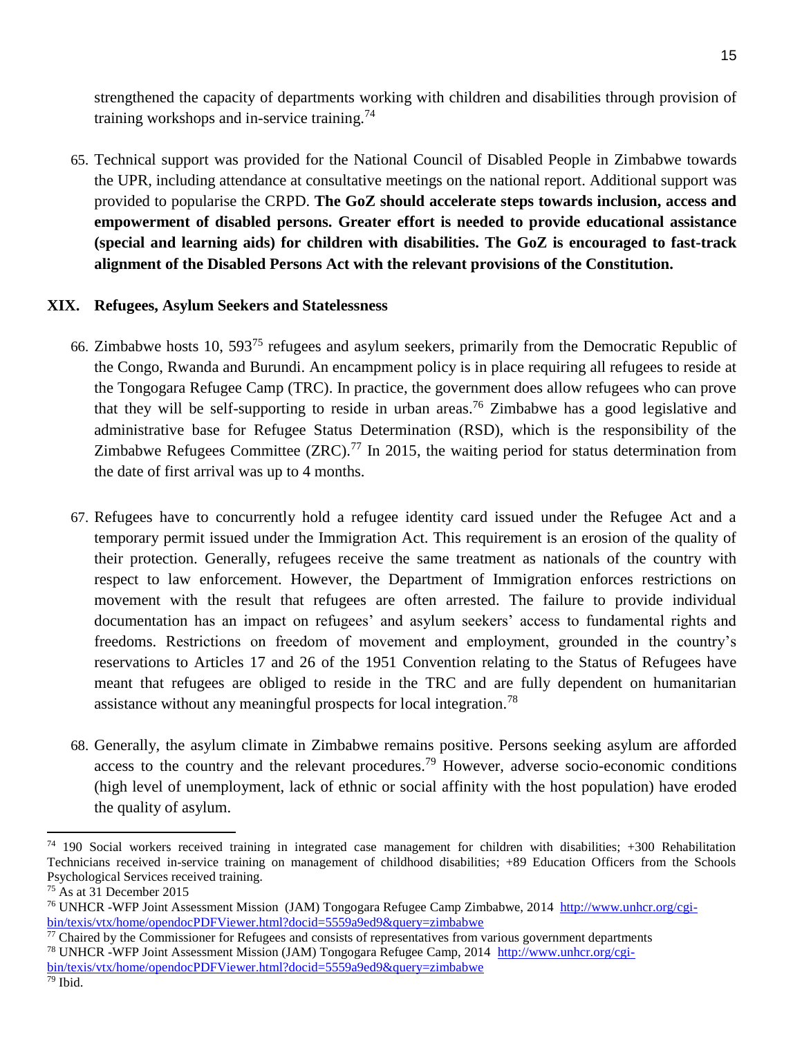strengthened the capacity of departments working with children and disabilities through provision of training workshops and in-service training.<sup>74</sup>

65. Technical support was provided for the National Council of Disabled People in Zimbabwe towards the UPR, including attendance at consultative meetings on the national report. Additional support was provided to popularise the CRPD. **The GoZ should accelerate steps towards inclusion, access and empowerment of disabled persons. Greater effort is needed to provide educational assistance (special and learning aids) for children with disabilities. The GoZ is encouraged to fast-track alignment of the Disabled Persons Act with the relevant provisions of the Constitution.**

### **XIX. Refugees, Asylum Seekers and Statelessness**

- 66. Zimbabwe hosts 10, 593<sup>75</sup> refugees and asylum seekers, primarily from the Democratic Republic of the Congo, Rwanda and Burundi. An encampment policy is in place requiring all refugees to reside at the Tongogara Refugee Camp (TRC). In practice, the government does allow refugees who can prove that they will be self-supporting to reside in urban areas.<sup>76</sup> Zimbabwe has a good legislative and administrative base for Refugee Status Determination (RSD), which is the responsibility of the Zimbabwe Refugees Committee (ZRC).<sup>77</sup> In 2015, the waiting period for status determination from the date of first arrival was up to 4 months.
- 67. Refugees have to concurrently hold a refugee identity card issued under the Refugee Act and a temporary permit issued under the Immigration Act. This requirement is an erosion of the quality of their protection. Generally, refugees receive the same treatment as nationals of the country with respect to law enforcement. However, the Department of Immigration enforces restrictions on movement with the result that refugees are often arrested. The failure to provide individual documentation has an impact on refugees' and asylum seekers' access to fundamental rights and freedoms. Restrictions on freedom of movement and employment, grounded in the country's reservations to Articles 17 and 26 of the 1951 Convention relating to the Status of Refugees have meant that refugees are obliged to reside in the TRC and are fully dependent on humanitarian assistance without any meaningful prospects for local integration.<sup>78</sup>
- 68. Generally, the asylum climate in Zimbabwe remains positive. Persons seeking asylum are afforded access to the country and the relevant procedures.<sup>79</sup> However, adverse socio-economic conditions (high level of unemployment, lack of ethnic or social affinity with the host population) have eroded the quality of asylum.

 $74$  190 Social workers received training in integrated case management for children with disabilities;  $+300$  Rehabilitation Technicians received in-service training on management of childhood disabilities; +89 Education Officers from the Schools Psychological Services received training.

 $75$  As at 31 December 2015

<sup>&</sup>lt;sup>76</sup> UNHCR -WFP Joint Assessment Mission (JAM) Tongogara Refugee Camp Zimbabwe, 2014 [http://www.unhcr.org/cgi](http://www.unhcr.org/cgi-bin/texis/vtx/home/opendocPDFViewer.html?docid=5559a9ed9&query=zimbabwe)[bin/texis/vtx/home/opendocPDFViewer.html?docid=5559a9ed9&query=zimbabwe](http://www.unhcr.org/cgi-bin/texis/vtx/home/opendocPDFViewer.html?docid=5559a9ed9&query=zimbabwe)

 $77$  Chaired by the Commissioner for Refugees and consists of representatives from various government departments <sup>78</sup> UNHCR -WFP Joint Assessment Mission (JAM) Tongogara Refugee Camp, 2014 [http://www.unhcr.org/cgi](http://www.unhcr.org/cgi-bin/texis/vtx/home/opendocPDFViewer.html?docid=5559a9ed9&query=zimbabwe)[bin/texis/vtx/home/opendocPDFViewer.html?docid=5559a9ed9&query=zimbabwe](http://www.unhcr.org/cgi-bin/texis/vtx/home/opendocPDFViewer.html?docid=5559a9ed9&query=zimbabwe)